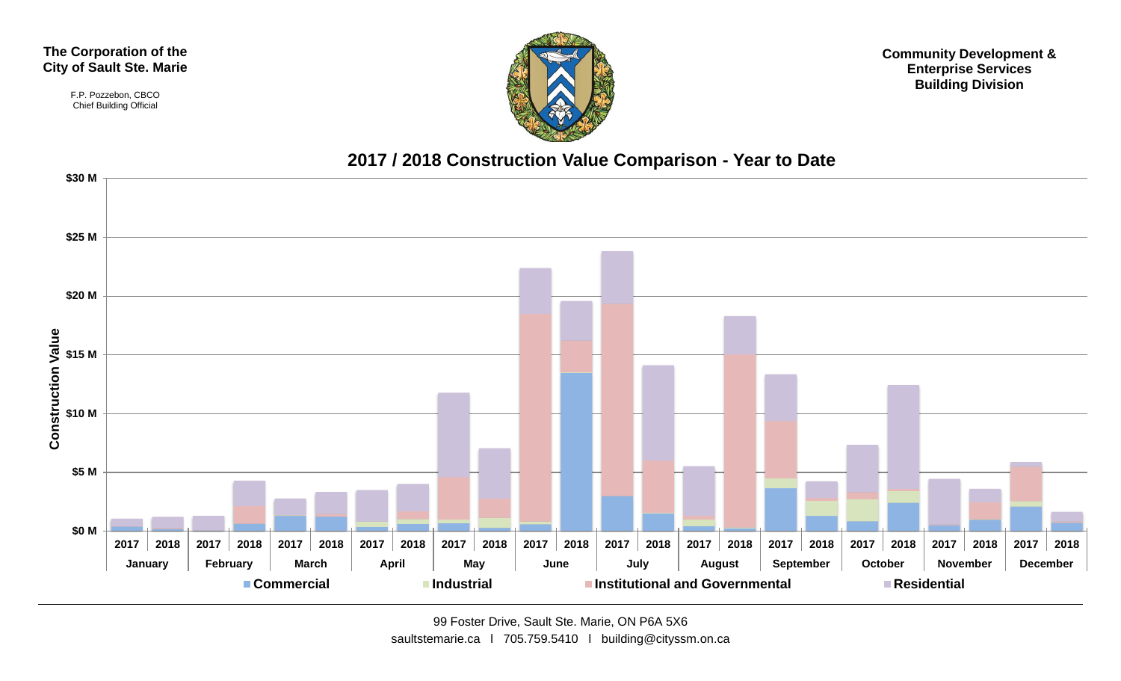#### **The Corporation of the City of Sault Ste. Marie**

F.P. Pozzebon, CBCO Chief Building Official



**Community Development & Enterprise Services Building Division**

#### **2017 / 2018 Construction Value Comparison - Year to Date**

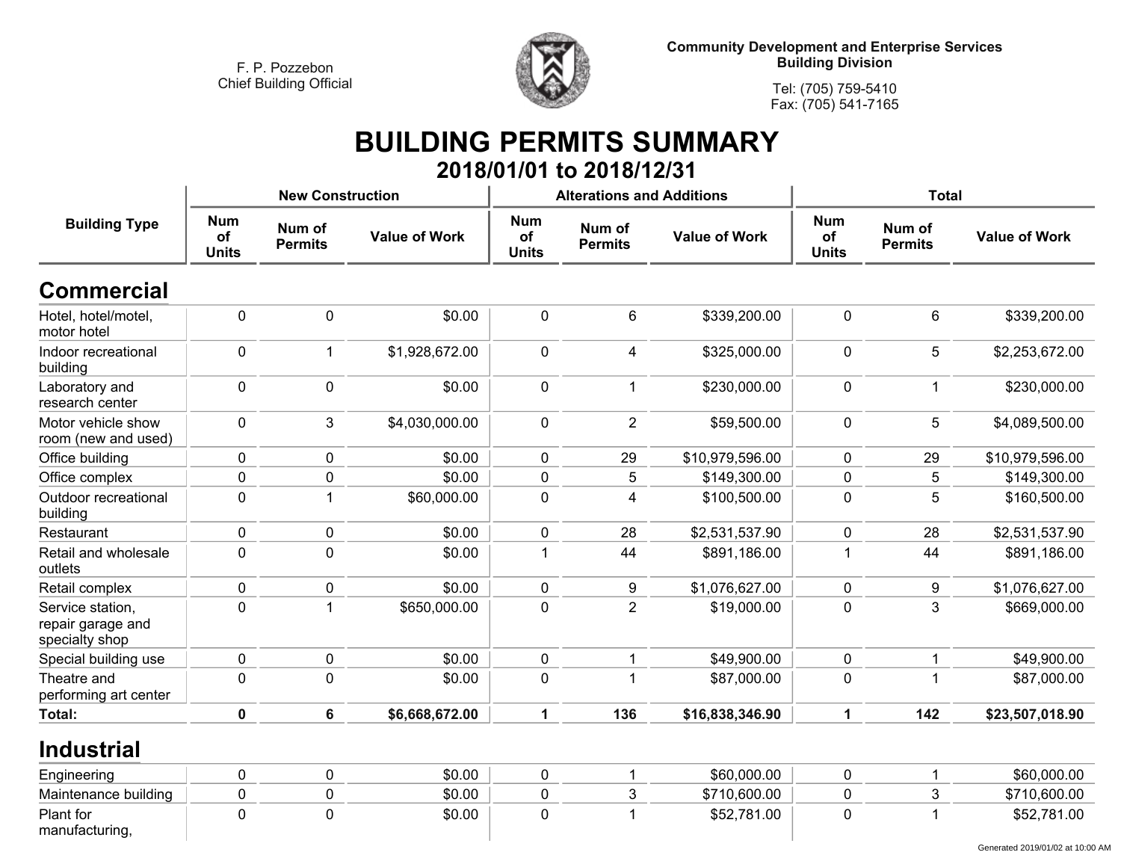

**Tel: (705) 759-5410 Fax: (705) 541-7165**

## **BUILDING PERMITS SUMMARY 2018/01/01 to 2018/12/31**

|                                                         |                                  | <b>New Construction</b>  |                      |                                  | <b>Alterations and Additions</b> |                      | <b>Total</b>                     |                          |                      |
|---------------------------------------------------------|----------------------------------|--------------------------|----------------------|----------------------------------|----------------------------------|----------------------|----------------------------------|--------------------------|----------------------|
| <b>Building Type</b>                                    | <b>Num</b><br>of<br><b>Units</b> | Num of<br><b>Permits</b> | <b>Value of Work</b> | <b>Num</b><br>of<br><b>Units</b> | Num of<br><b>Permits</b>         | <b>Value of Work</b> | <b>Num</b><br>of<br><b>Units</b> | Num of<br><b>Permits</b> | <b>Value of Work</b> |
| <b>Commercial</b>                                       |                                  |                          |                      |                                  |                                  |                      |                                  |                          |                      |
| Hotel, hotel/motel,<br>motor hotel                      | $\pmb{0}$                        | $\mathbf 0$              | \$0.00               | $\mathbf 0$                      | $\,6\,$                          | \$339,200.00         | $\mathbf 0$                      | 6                        | \$339,200.00         |
| Indoor recreational<br>building                         | $\pmb{0}$                        | $\overline{1}$           | \$1,928,672.00       | 0                                | $\overline{4}$                   | \$325,000.00         | $\pmb{0}$                        | 5                        | \$2,253,672.00       |
| Laboratory and<br>research center                       | $\pmb{0}$                        | $\pmb{0}$                | \$0.00               | 0                                | $\mathbf{1}$                     | \$230,000.00         | $\pmb{0}$                        | $\mathbf{1}$             | \$230,000.00         |
| Motor vehicle show<br>room (new and used)               | $\pmb{0}$                        | 3                        | \$4,030,000.00       | 0                                | $\overline{2}$                   | \$59,500.00          | $\mathbf 0$                      | 5                        | \$4,089,500.00       |
| Office building                                         | $\pmb{0}$                        | $\pmb{0}$                | \$0.00               | $\pmb{0}$                        | 29                               | \$10,979,596.00      | $\mathbf 0$                      | 29                       | \$10,979,596.00      |
| Office complex                                          | $\pmb{0}$                        | $\pmb{0}$                | \$0.00               | $\mathbf 0$                      | 5                                | \$149,300.00         | $\mathbf 0$                      | 5                        | \$149,300.00         |
| Outdoor recreational<br>building                        | $\mathbf 0$                      | $\overline{1}$           | \$60,000.00          | $\mathbf 0$                      | $\overline{\mathbf{4}}$          | \$100,500.00         | $\mathbf 0$                      | 5                        | \$160,500.00         |
| Restaurant                                              | $\pmb{0}$                        | $\pmb{0}$                | \$0.00               | $\mathbf 0$                      | 28                               | \$2,531,537.90       | $\mathbf 0$                      | 28                       | \$2,531,537.90       |
| Retail and wholesale<br>outlets                         | $\pmb{0}$                        | $\mathbf 0$              | \$0.00               | $\mathbf 1$                      | 44                               | \$891,186.00         | $\mathbf{1}$                     | 44                       | \$891,186.00         |
| Retail complex                                          | $\pmb{0}$                        | $\pmb{0}$                | \$0.00               | $\mathbf 0$                      | 9                                | \$1,076,627.00       | $\pmb{0}$                        | 9                        | \$1,076,627.00       |
| Service station,<br>repair garage and<br>specialty shop | $\mathbf 0$                      | $\overline{1}$           | \$650,000.00         | $\mathbf 0$                      | $\overline{2}$                   | \$19,000.00          | $\mathbf 0$                      | 3                        | \$669,000.00         |
| Special building use                                    | $\pmb{0}$                        | $\pmb{0}$                | \$0.00               | 0                                | $\mathbf 1$                      | \$49,900.00          | $\mathbf 0$                      | $\mathbf 1$              | \$49,900.00          |
| Theatre and<br>performing art center                    | $\mathbf 0$                      | $\mathbf 0$              | \$0.00               | 0                                | 1                                | \$87,000.00          | $\mathbf 0$                      | 1                        | \$87,000.00          |
| Total:                                                  | $\pmb{0}$                        | 6                        | \$6,668,672.00       | $\mathbf{1}$                     | 136                              | \$16,838,346.90      | $\mathbf{1}$                     | 142                      | \$23,507,018.90      |
| <b>Industrial</b>                                       |                                  |                          |                      |                                  |                                  |                      |                                  |                          |                      |
| Engineering                                             | $\pmb{0}$                        | $\pmb{0}$                | \$0.00               | 0                                | 1                                | \$60,000.00          | $\mathbf 0$                      | -1                       | \$60,000.00          |
| Maintenance building                                    | $\pmb{0}$                        | $\pmb{0}$                | \$0.00               | $\mathbf 0$                      | $\mathbf{3}$                     | \$710,600.00         | $\mathbf 0$                      | 3                        | \$710,600.00         |
| Plant for<br>manufacturing,                             | $\mathbf 0$                      | $\mathbf 0$              | \$0.00               | $\mathbf 0$                      | $\overline{1}$                   | \$52,781.00          | $\mathbf 0$                      | 1                        | \$52,781.00          |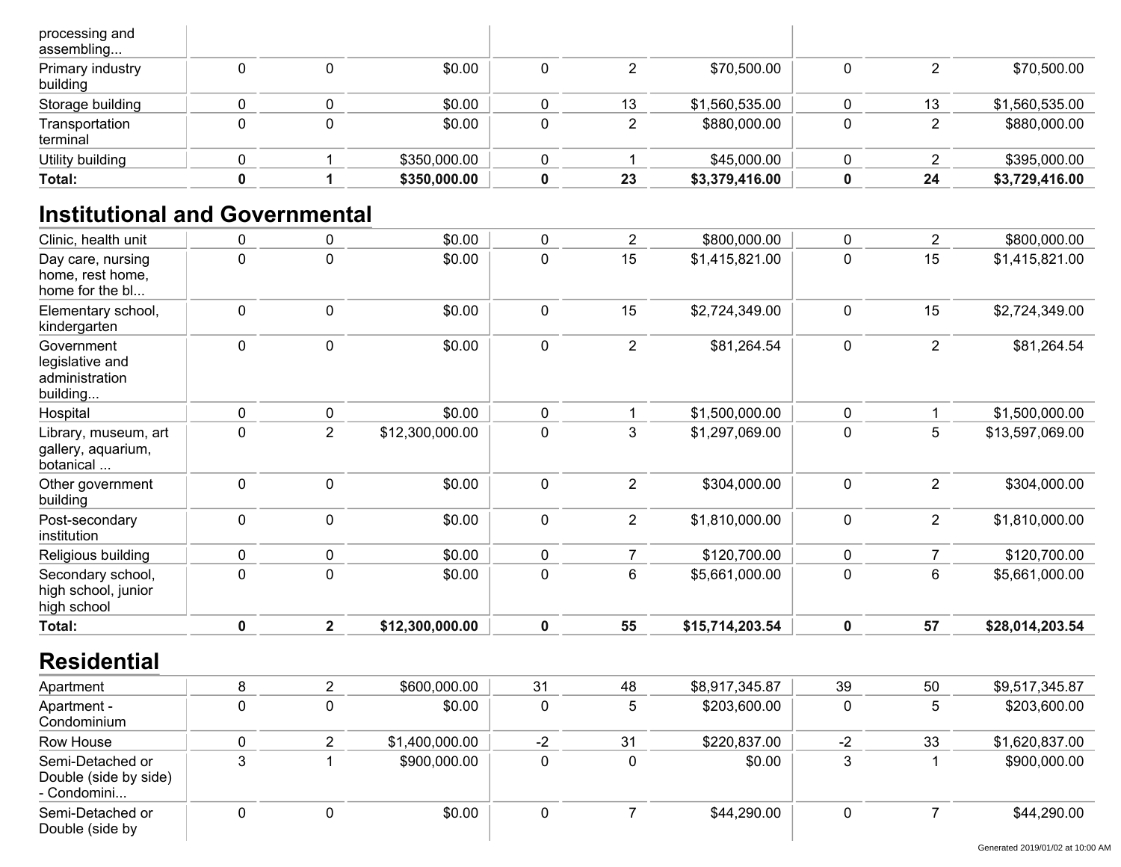| processing and<br>assembling |   |              |    |                |    |                |
|------------------------------|---|--------------|----|----------------|----|----------------|
| Primary industry<br>building | 0 | \$0.00       |    | \$70,500.00    |    | \$70,500.00    |
| Storage building             |   | \$0.00       | 13 | \$1,560,535.00 | 13 | \$1,560,535.00 |
| Transportation<br>terminal   |   | \$0.00       |    | \$880,000.00   |    | \$880,000.00   |
| Utility building             |   | \$350,000.00 |    | \$45,000.00    |    | \$395,000.00   |
| Total:                       |   | \$350,000.00 | 23 | \$3,379,416.00 | 24 | \$3,729,416.00 |

## **Institutional and Governmental**

| Clinic, health unit                                         | 0           | 0              | \$0.00          | $\mathbf 0$  | $\overline{2}$ | \$800,000.00    | 0           | $\overline{2}$ | \$800,000.00    |
|-------------------------------------------------------------|-------------|----------------|-----------------|--------------|----------------|-----------------|-------------|----------------|-----------------|
| Day care, nursing<br>home, rest home,<br>home for the bl    | $\pmb{0}$   | $\mathbf 0$    | \$0.00          | $\pmb{0}$    | 15             | \$1,415,821.00  | 0           | 15             | \$1,415,821.00  |
| Elementary school,<br>kindergarten                          | 0           | $\mathbf 0$    | \$0.00          | $\mathbf 0$  | 15             | \$2,724,349.00  | 0           | 15             | \$2,724,349.00  |
| Government<br>legislative and<br>administration<br>building | $\pmb{0}$   | $\pmb{0}$      | \$0.00          | $\mathbf 0$  | $\overline{2}$ | \$81,264.54     | 0           | $\overline{2}$ | \$81,264.54     |
| Hospital                                                    | 0           | 0              | \$0.00          | $\mathbf{0}$ |                | \$1,500,000.00  | 0           |                | \$1,500,000.00  |
| Library, museum, art<br>gallery, aquarium,<br>botanical     | 0           | $\overline{2}$ | \$12,300,000.00 | $\mathbf 0$  | 3              | \$1,297,069.00  | 0           | 5              | \$13,597,069.00 |
| Other government<br>building                                | 0           | $\mathbf 0$    | \$0.00          | $\mathbf 0$  | $\overline{2}$ | \$304,000.00    | 0           | $\overline{2}$ | \$304,000.00    |
| Post-secondary<br>institution                               | $\mathbf 0$ | $\mathbf 0$    | \$0.00          | $\mathbf 0$  | $\overline{2}$ | \$1,810,000.00  | 0           | $\overline{2}$ | \$1,810,000.00  |
| Religious building                                          | 0           | $\pmb{0}$      | \$0.00          | $\mathbf 0$  | $\overline{7}$ | \$120,700.00    | 0           | $\overline{7}$ | \$120,700.00    |
| Secondary school,<br>high school, junior<br>high school     | $\pmb{0}$   | $\mathbf 0$    | \$0.00          | $\pmb{0}$    | 6              | \$5,661,000.00  | 0           | $\,6$          | \$5,661,000.00  |
| Total:                                                      | $\mathbf 0$ | $\overline{2}$ | \$12,300,000.00 | $\mathbf 0$  | 55             | \$15,714,203.54 | $\mathbf 0$ | 57             | \$28,014,203.54 |
| <b>Residential</b>                                          |             |                |                 |              |                |                 |             |                |                 |
| Apartment                                                   | 8           | $\overline{2}$ | \$600,000.00    | 31           | 48             | \$8,917,345.87  | 39          | 50             | \$9,517,345.87  |
|                                                             |             |                |                 |              |                |                 |             |                |                 |

| Apartment                                                |   | <b>DO.OOO.OOO</b> | ا ت  | 40 | 0.0.040.01 I V.O | ১৬                       | ່ວບ | 79.017.017.07  |
|----------------------------------------------------------|---|-------------------|------|----|------------------|--------------------------|-----|----------------|
| Apartment -<br>Condominium                               |   | \$0.00            | υ    |    | \$203,600.00     |                          |     | \$203,600.00   |
| Row House                                                |   | \$1,400,000.00    | $-2$ | 31 | \$220,837.00     | $\overline{\phantom{a}}$ | 33  | \$1,620,837.00 |
| Semi-Detached or<br>Double (side by side)<br>- Condomini |   | \$900,000.00      |      |    | \$0.00           |                          |     | \$900,000.00   |
| Semi-Detached or<br>Double (side by                      | U | \$0.00            |      |    | \$44,290.00      |                          |     | \$44,290.00    |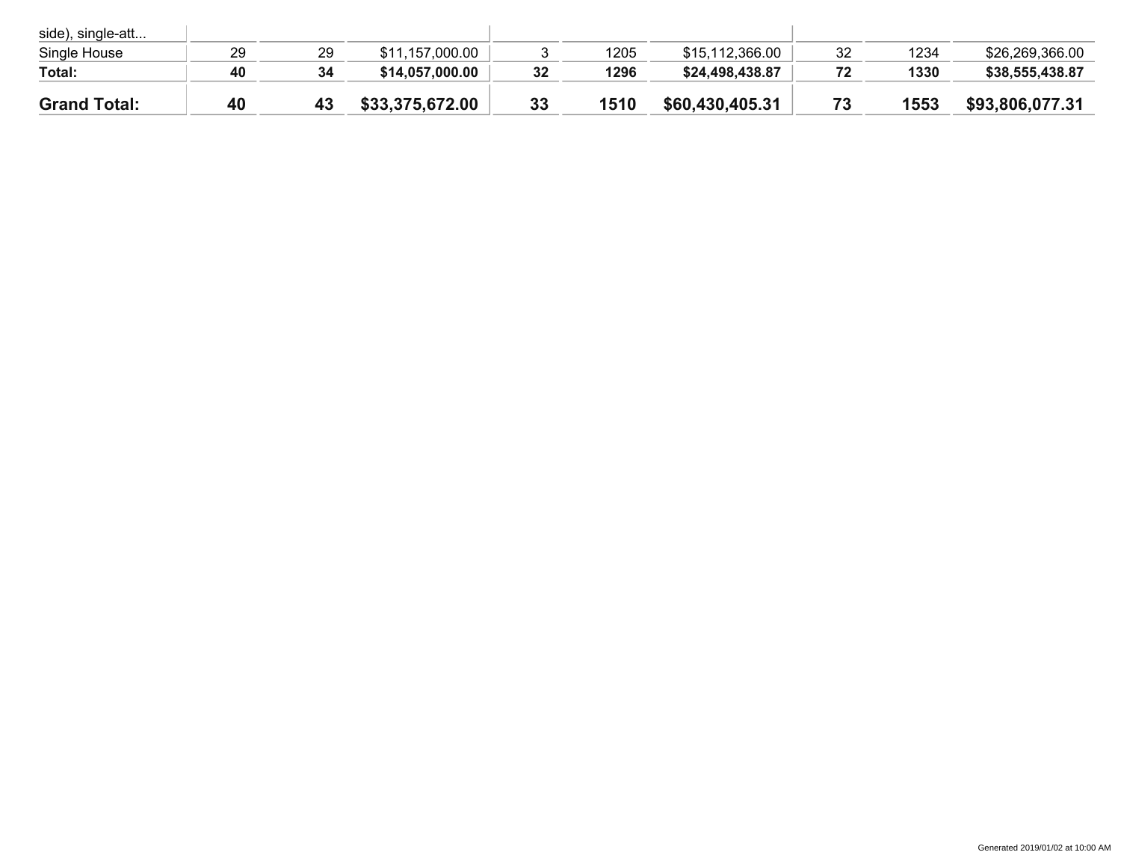| side), single-att   |    |    |                 |    |      |                 |    |      |                 |
|---------------------|----|----|-----------------|----|------|-----------------|----|------|-----------------|
| Single House        | 29 | 29 | \$11,157,000.00 |    | 1205 | \$15,112,366.00 | 32 | 1234 | \$26,269,366.00 |
| Total:              | 40 | 34 | \$14,057,000.00 | 32 | 1296 | \$24,498,438.87 |    | 1330 | \$38,555,438.87 |
| <b>Grand Total:</b> | 40 | 43 | \$33,375,672.00 | 33 | 1510 | \$60,430,405.31 |    | 1553 | \$93,806,077.31 |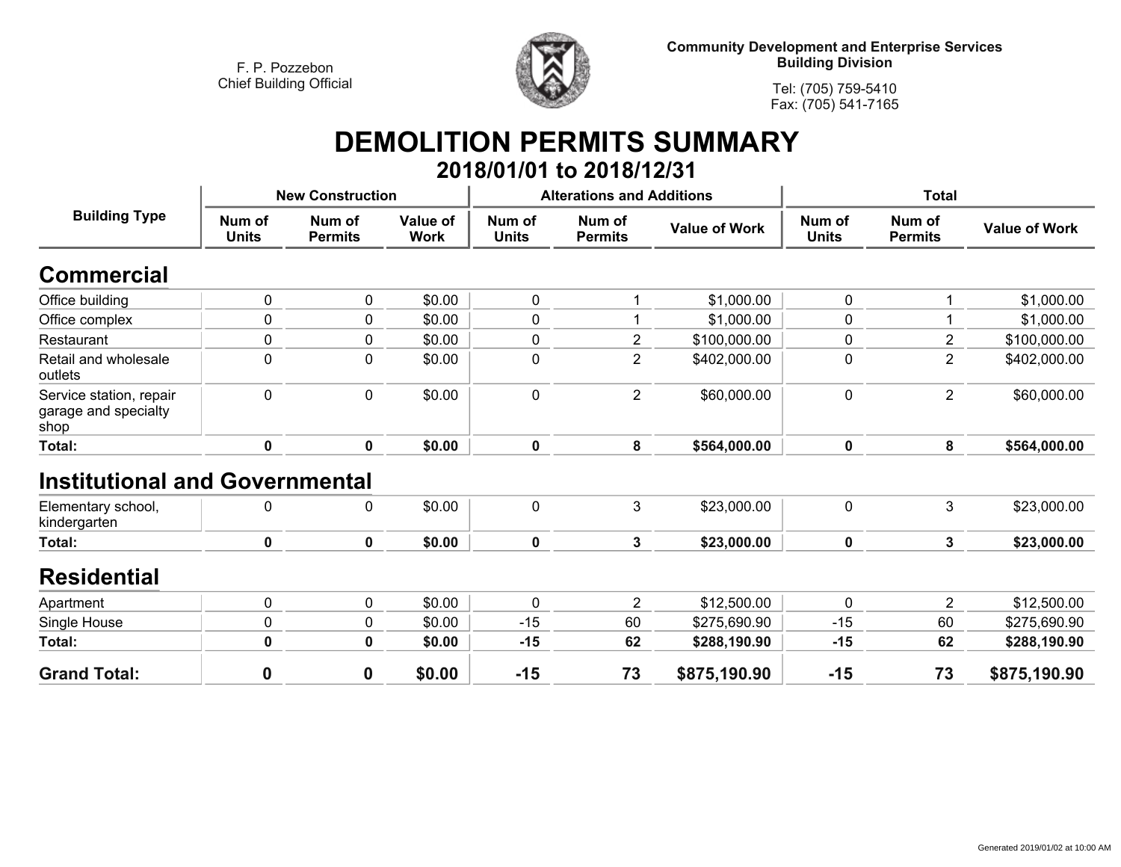

**Tel: (705) 759-5410Fax: (705) 541-7165**

# **DEMOLITION PERMITS SUMMARY**

|                                                         |                        |                          |                                |                        | 2018/01/01 to 2018/12/31         |                      |                        |                          |                      |
|---------------------------------------------------------|------------------------|--------------------------|--------------------------------|------------------------|----------------------------------|----------------------|------------------------|--------------------------|----------------------|
|                                                         |                        | <b>New Construction</b>  |                                |                        | <b>Alterations and Additions</b> |                      |                        | <b>Total</b>             |                      |
| <b>Building Type</b>                                    | Num of<br><b>Units</b> | Num of<br><b>Permits</b> | <b>Value of</b><br><b>Work</b> | Num of<br><b>Units</b> | Num of<br><b>Permits</b>         | <b>Value of Work</b> | Num of<br><b>Units</b> | Num of<br><b>Permits</b> | <b>Value of Work</b> |
| <b>Commercial</b>                                       |                        |                          |                                |                        |                                  |                      |                        |                          |                      |
| Office building                                         | 0                      | 0                        | \$0.00                         | $\mathbf 0$            | 1                                | \$1,000.00           | 0                      |                          | \$1,000.00           |
| Office complex                                          | $\pmb{0}$              | 0                        | \$0.00                         | 0                      | 1                                | \$1,000.00           | 0                      |                          | \$1,000.00           |
| Restaurant                                              | $\pmb{0}$              | $\mathbf 0$              | \$0.00                         | $\mathbf 0$            | $\overline{2}$                   | \$100,000.00         | 0                      | $\overline{2}$           | \$100,000.00         |
| Retail and wholesale<br>outlets                         | $\mathbf 0$            | $\boldsymbol{0}$         | \$0.00                         | $\pmb{0}$              | $\overline{2}$                   | \$402,000.00         | 0                      | $\overline{2}$           | \$402,000.00         |
| Service station, repair<br>garage and specialty<br>shop | $\pmb{0}$              | 0                        | \$0.00                         | $\mathbf 0$            | $\overline{2}$                   | \$60,000.00          | 0                      | $\overline{2}$           | \$60,000.00          |
| Total:                                                  | $\mathbf 0$            | $\mathbf 0$              | \$0.00                         | $\mathbf 0$            | 8                                | \$564,000.00         | $\mathbf 0$            | 8                        | \$564,000.00         |
| <b>Institutional and Governmental</b>                   |                        |                          |                                |                        |                                  |                      |                        |                          |                      |
| Elementary school,<br>kindergarten                      | 0                      | $\mathbf 0$              | \$0.00                         | $\mathbf 0$            | 3                                | \$23,000.00          | $\mathbf 0$            | 3                        | \$23,000.00          |
| Total:                                                  | $\mathbf 0$            | $\mathbf 0$              | \$0.00                         | $\mathbf 0$            | 3                                | \$23,000.00          | $\mathbf 0$            | $\mathbf{3}$             | \$23,000.00          |
| <b>Residential</b>                                      |                        |                          |                                |                        |                                  |                      |                        |                          |                      |
| Apartment                                               | $\mathbf 0$            | $\mathbf 0$              | \$0.00                         | $\mathbf 0$            | $\overline{2}$                   | \$12,500.00          | $\mathbf 0$            | $\overline{2}$           | \$12,500.00          |
| Single House                                            | 0                      | 0                        | \$0.00                         | $-15$                  | 60                               | \$275,690.90         | $-15$                  | 60                       | \$275,690.90         |
| Total:                                                  | $\mathbf 0$            | $\mathbf 0$              | \$0.00                         | $-15$                  | 62                               | \$288,190.90         | $-15$                  | 62                       | \$288,190.90         |
| <b>Grand Total:</b>                                     | $\boldsymbol{0}$       | 0                        | \$0.00                         | $-15$                  | 73                               | \$875,190.90         | $-15$                  | 73                       | \$875,190.90         |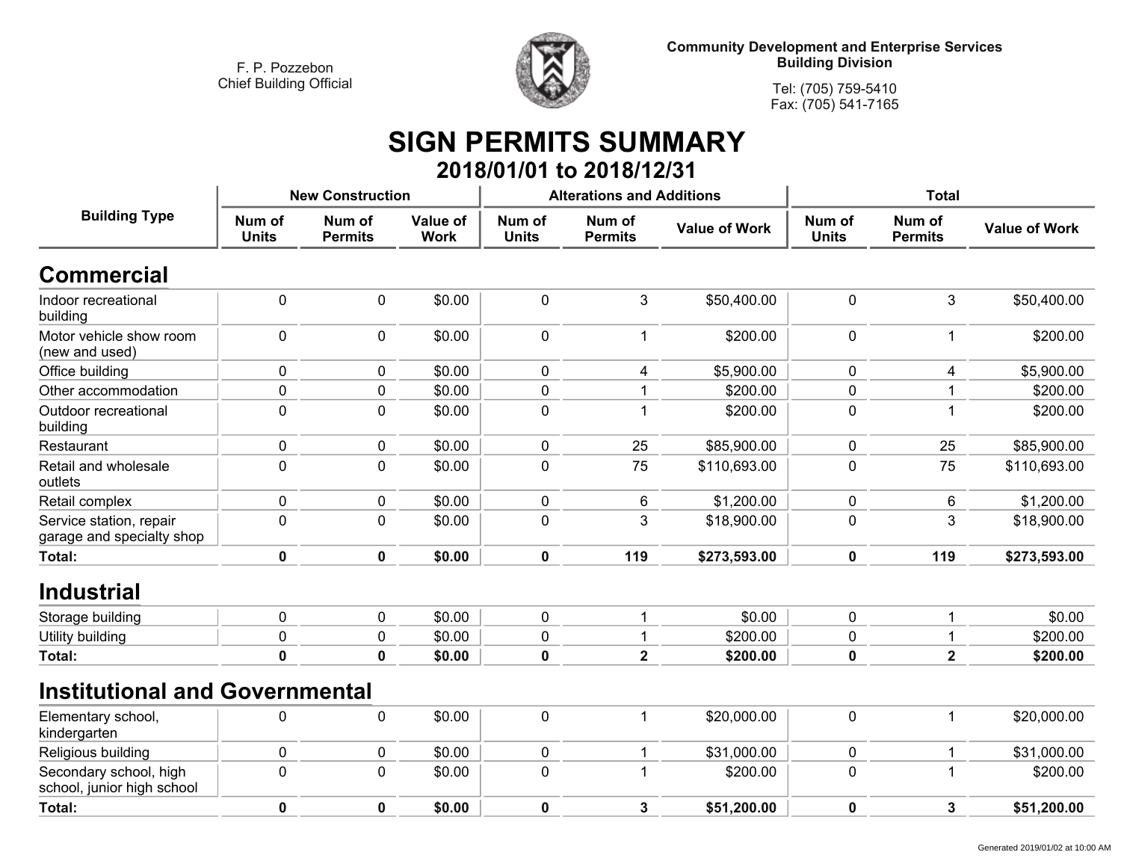**<sup>0</sup>**



**Community Development and Enterprise Services Building Division**

> **Tel: (705) 759-5410Fax: (705) 541-7165**

## **SIGN PERMITS SUMMARY 2018/01/01 to 2018/12/31**

|                                                      |                        | <b>New Construction</b>  |                         |                        | <b>Alterations and Additions</b> |                      | <b>Total</b>           |                          |                      |
|------------------------------------------------------|------------------------|--------------------------|-------------------------|------------------------|----------------------------------|----------------------|------------------------|--------------------------|----------------------|
| <b>Building Type</b>                                 | Num of<br><b>Units</b> | Num of<br><b>Permits</b> | Value of<br><b>Work</b> | Num of<br><b>Units</b> | Num of<br><b>Permits</b>         | <b>Value of Work</b> | Num of<br><b>Units</b> | Num of<br><b>Permits</b> | <b>Value of Work</b> |
| <b>Commercial</b>                                    |                        |                          |                         |                        |                                  |                      |                        |                          |                      |
| Indoor recreational<br>building                      | $\pmb{0}$              | $\pmb{0}$                | \$0.00                  | 0                      | 3                                | \$50,400.00          | $\mathbf 0$            | 3                        | \$50,400.00          |
| Motor vehicle show room<br>(new and used)            | $\mathbf 0$            | 0                        | \$0.00                  | 0                      | 1                                | \$200.00             | $\mathbf 0$            | 1                        | \$200.00             |
| Office building                                      | $\mathbf 0$            | $\pmb{0}$                | \$0.00                  | 0                      | 4                                | \$5,900.00           | $\mathbf 0$            | 4                        | \$5,900.00           |
| Other accommodation                                  | $\mathbf 0$            | $\pmb{0}$                | \$0.00                  | 0                      |                                  | \$200.00             | 0                      |                          | \$200.00             |
| Outdoor recreational<br>building                     | $\mathbf 0$            | $\mathbf 0$              | \$0.00                  | 0                      |                                  | \$200.00             | $\mathbf 0$            |                          | \$200.00             |
| Restaurant                                           | 0                      | 0                        | \$0.00                  | 0                      | 25                               | \$85,900.00          | 0                      | 25                       | \$85,900.00          |
| Retail and wholesale<br>outlets                      | $\mathbf 0$            | $\mathbf 0$              | \$0.00                  | 0                      | 75                               | \$110,693.00         | $\mathbf 0$            | 75                       | \$110,693.00         |
| Retail complex                                       | $\mathbf 0$            | $\pmb{0}$                | \$0.00                  | 0                      | 6                                | \$1,200.00           | $\mathbf 0$            | 6                        | \$1,200.00           |
| Service station, repair<br>garage and specialty shop | $\mathbf 0$            | $\pmb{0}$                | \$0.00                  | 0                      | 3                                | \$18,900.00          | 0                      | 3                        | \$18,900.00          |
| <b>Total:</b>                                        | $\mathbf 0$            | $\mathbf 0$              | \$0.00                  | $\mathbf 0$            | 119                              | \$273,593.00         | $\mathbf 0$            | 119                      | \$273,593.00         |
| <b>Industrial</b>                                    |                        |                          |                         |                        |                                  |                      |                        |                          |                      |
| Storage building                                     | $\mathbf 0$            | 0                        | \$0.00                  | 0                      | 1                                | \$0.00               | $\mathbf 0$            |                          | \$0.00               |
| Utility building                                     | $\mathbf 0$            | 0                        | \$0.00                  | 0                      |                                  | \$200.00             | 0                      |                          | \$200.00             |
| Total:                                               | $\mathbf 0$            | $\mathbf 0$              | \$0.00                  | 0                      | $\overline{2}$                   | \$200.00             | 0                      | $\overline{\mathbf{2}}$  | \$200.00             |
| <b>Institutional and Governmental</b>                |                        |                          |                         |                        |                                  |                      |                        |                          |                      |
| Elementary school,<br>kindergarten                   | $\mathbf 0$            | 0                        | \$0.00                  | 0                      | 1                                | \$20,000.00          | $\pmb{0}$              | 1                        | \$20,000.00          |
| Religious building                                   | $\mathbf 0$            | $\pmb{0}$                | \$0.00                  | 0                      | 1                                | \$31,000.00          | $\mathbf 0$            |                          | \$31,000.00          |
| Secondary school, high<br>school, junior high school | $\pmb{0}$              | $\pmb{0}$                | \$0.00                  | 0                      |                                  | \$200.00             | $\mathbf 0$            |                          | \$200.00             |
| Total:                                               | $\mathbf 0$            | $\mathbf 0$              | \$0.00                  | 0                      | 3                                | \$51,200.00          | 0                      | 3                        | \$51,200.00          |

**<sup>0</sup> \$0.00 <sup>0</sup> <sup>3</sup> \$51,200.00 <sup>0</sup> <sup>3</sup> \$51,200.00**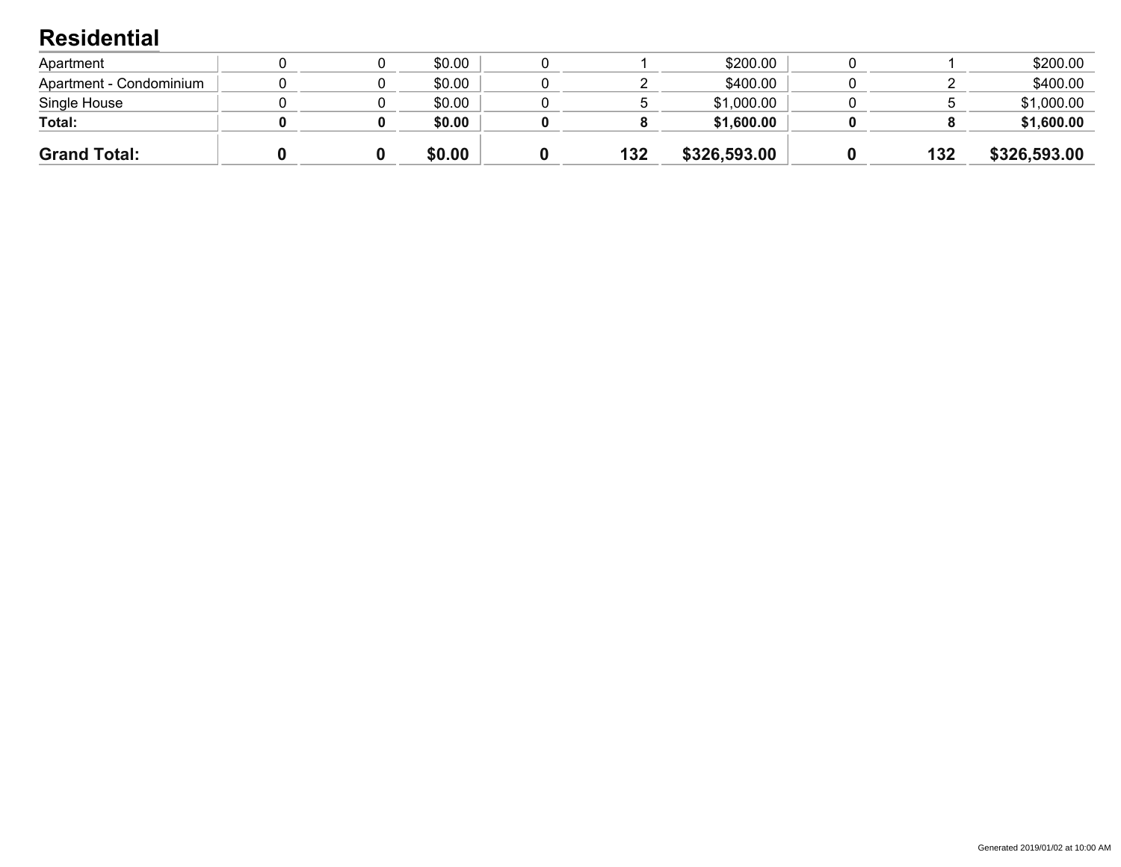### **Residential**

| <b>Grand Total:</b>     |  | \$0.00 | 132 | \$326,593.00 | 132 | \$326,593.00 |
|-------------------------|--|--------|-----|--------------|-----|--------------|
| Total:                  |  | \$0.00 |     | \$1,600.00   |     | \$1,600.00   |
| Single House            |  | \$0.00 |     | \$1,000.00   |     | \$1,000.00   |
| Apartment - Condominium |  | \$0.00 |     | \$400.00     |     | \$400.00     |
| Apartment               |  | \$0.00 |     | \$200.00     |     | \$200.00     |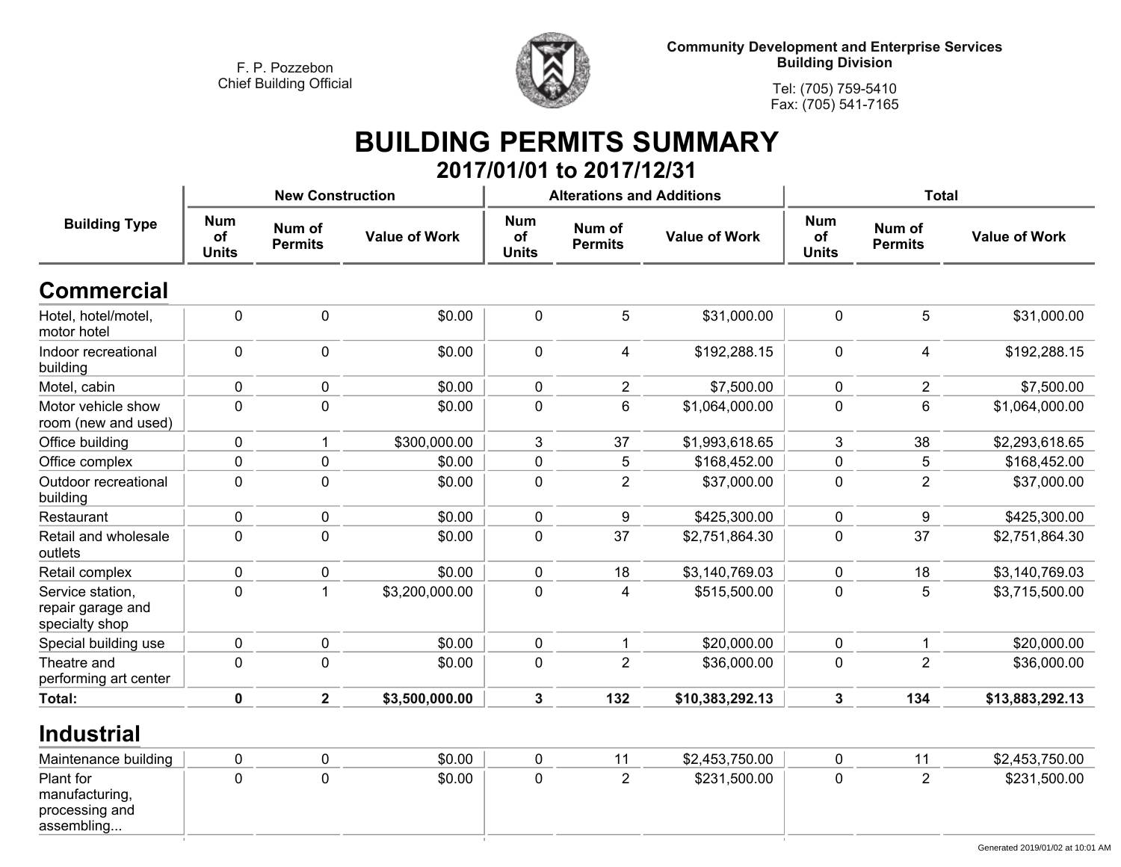

**Tel: (705) 759-5410Fax: (705) 541-7165**

## **BUILDING PERMITS SUMMARY 2017/01/01 to 2017/12/31**

|                                                         |                                  | <b>New Construction</b>  |                      |                                  | <b>Alterations and Additions</b> |                      | <b>Total</b>                     |                          |                      |  |
|---------------------------------------------------------|----------------------------------|--------------------------|----------------------|----------------------------------|----------------------------------|----------------------|----------------------------------|--------------------------|----------------------|--|
| <b>Building Type</b>                                    | <b>Num</b><br>of<br><b>Units</b> | Num of<br><b>Permits</b> | <b>Value of Work</b> | <b>Num</b><br>of<br><b>Units</b> | Num of<br><b>Permits</b>         | <b>Value of Work</b> | <b>Num</b><br>of<br><b>Units</b> | Num of<br><b>Permits</b> | <b>Value of Work</b> |  |
| <b>Commercial</b>                                       |                                  |                          |                      |                                  |                                  |                      |                                  |                          |                      |  |
| Hotel, hotel/motel,<br>motor hotel                      | $\pmb{0}$                        | $\mathbf 0$              | \$0.00               | $\mathbf 0$                      | 5                                | \$31,000.00          | $\mathbf 0$                      | 5                        | \$31,000.00          |  |
| Indoor recreational<br>building                         | 0                                | $\pmb{0}$                | \$0.00               | $\mathbf 0$                      | 4                                | \$192,288.15         | $\mathbf 0$                      | 4                        | \$192,288.15         |  |
| Motel, cabin                                            | 0                                | $\pmb{0}$                | \$0.00               | $\mathbf 0$                      | $\overline{2}$                   | \$7,500.00           | $\mathbf 0$                      | $\overline{2}$           | \$7,500.00           |  |
| Motor vehicle show<br>room (new and used)               | 0                                | $\mathbf 0$              | \$0.00               | $\mathbf 0$                      | 6                                | \$1,064,000.00       | 0                                | 6                        | \$1,064,000.00       |  |
| Office building                                         | 0                                | 1                        | \$300,000.00         | 3                                | 37                               | \$1,993,618.65       | 3                                | 38                       | \$2,293,618.65       |  |
| Office complex                                          | 0                                | $\pmb{0}$                | \$0.00               | $\mathbf 0$                      | 5                                | \$168,452.00         | 0                                | 5                        | \$168,452.00         |  |
| Outdoor recreational<br>building                        | 0                                | $\pmb{0}$                | \$0.00               | $\mathbf 0$                      | $\overline{2}$                   | \$37,000.00          | 0                                | $\overline{2}$           | \$37,000.00          |  |
| Restaurant                                              | 0                                | 0                        | \$0.00               | $\pmb{0}$                        | $\boldsymbol{9}$                 | \$425,300.00         | 0                                | 9                        | \$425,300.00         |  |
| Retail and wholesale<br>outlets                         | 0                                | $\pmb{0}$                | \$0.00               | $\mathbf 0$                      | 37                               | \$2,751,864.30       | 0                                | 37                       | \$2,751,864.30       |  |
| Retail complex                                          | 0                                | $\mathbf 0$              | \$0.00               | $\pmb{0}$                        | 18                               | \$3,140,769.03       | 0                                | 18                       | \$3,140,769.03       |  |
| Service station,<br>repair garage and<br>specialty shop | 0                                | 1                        | \$3,200,000.00       | $\mathbf 0$                      | 4                                | \$515,500.00         | 0                                | 5                        | \$3,715,500.00       |  |
| Special building use                                    | 0                                | $\pmb{0}$                | \$0.00               | $\mathbf 0$                      |                                  | \$20,000.00          | $\mathbf 0$                      | $\mathbf{1}$             | \$20,000.00          |  |
| Theatre and<br>performing art center                    | 0                                | $\pmb{0}$                | \$0.00               | $\mathbf 0$                      | $\overline{2}$                   | \$36,000.00          | 0                                | $\overline{2}$           | \$36,000.00          |  |
| Total:                                                  | 0                                | $\overline{2}$           | \$3,500,000.00       | 3                                | 132                              | \$10,383,292.13      | 3                                | 134                      | \$13,883,292.13      |  |

#### **Industrial**

| Maintenance building                                        |  | \$0.00 |  | \$2,453,750.00 |  | \$2,453,750.00 |
|-------------------------------------------------------------|--|--------|--|----------------|--|----------------|
| Plant for<br>manufacturing,<br>processing and<br>assembling |  | \$0.00 |  | \$231,500.00   |  | \$231,500.00   |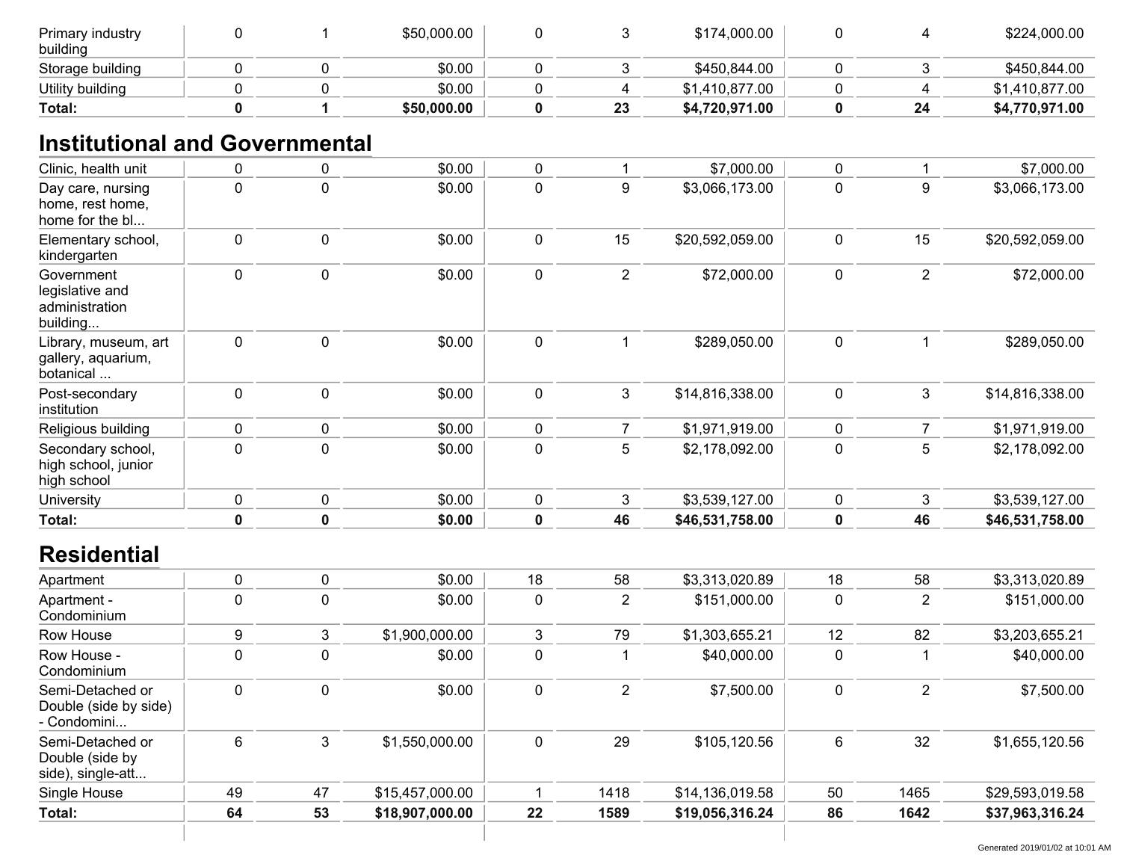| Primary industry<br>building |  | \$50,000.00 |    | \$174,000.00   |    | \$224,000.00   |
|------------------------------|--|-------------|----|----------------|----|----------------|
| Storage building             |  | \$0.00      |    | \$450,844.00   |    | \$450,844.00   |
| Utility building             |  | \$0.00      |    | \$1,410,877.00 |    | \$1,410,877.00 |
| Total:                       |  | \$50,000.00 | 23 | \$4,720,971.00 | 24 | \$4,770,971.00 |

## **Institutional and Governmental**

| Clinic, health unit                                         | 0           | $\pmb{0}$   | \$0.00          | $\pmb{0}$      | $\mathbf 1$    | \$7,000.00      | $\pmb{0}$   | 1              | \$7,000.00      |
|-------------------------------------------------------------|-------------|-------------|-----------------|----------------|----------------|-----------------|-------------|----------------|-----------------|
| Day care, nursing<br>home, rest home,<br>home for the bl    | $\pmb{0}$   | $\mathbf 0$ | \$0.00          | $\overline{0}$ | 9              | \$3,066,173.00  | $\mathbf 0$ | 9              | \$3,066,173.00  |
| Elementary school,<br>kindergarten                          | 0           | $\mathbf 0$ | \$0.00          | $\mathbf 0$    | 15             | \$20,592,059.00 | $\mathbf 0$ | 15             | \$20,592,059.00 |
| Government<br>legislative and<br>administration<br>building | 0           | $\pmb{0}$   | \$0.00          | $\mathbf 0$    | $\overline{2}$ | \$72,000.00     | $\mathbf 0$ | $\overline{2}$ | \$72,000.00     |
| Library, museum, art<br>gallery, aquarium,<br>botanical     | 0           | $\pmb{0}$   | \$0.00          | $\mathbf 0$    | $\mathbf{1}$   | \$289,050.00    | $\mathbf 0$ | $\mathbf 1$    | \$289,050.00    |
| Post-secondary<br>institution                               | 0           | $\pmb{0}$   | \$0.00          | $\pmb{0}$      | $\mathfrak{Z}$ | \$14,816,338.00 | $\mathbf 0$ | $\mathbf{3}$   | \$14,816,338.00 |
| Religious building                                          | 0           | 0           | \$0.00          | $\pmb{0}$      | 7              | \$1,971,919.00  | 0           | $\overline{7}$ | \$1,971,919.00  |
| Secondary school,<br>high school, junior<br>high school     | 0           | $\mathbf 0$ | \$0.00          | $\mathbf 0$    | 5              | \$2,178,092.00  | $\mathbf 0$ | 5              | \$2,178,092.00  |
| University                                                  | 0           | $\pmb{0}$   | \$0.00          | $\pmb{0}$      | 3              | \$3,539,127.00  | 0           | 3              | \$3,539,127.00  |
| Total:                                                      | $\mathbf 0$ | $\mathbf 0$ | \$0.00          | $\mathbf 0$    | 46             | \$46,531,758.00 | $\mathbf 0$ | 46             | \$46,531,758.00 |
| <b>Residential</b>                                          |             |             |                 |                |                |                 |             |                |                 |
| Apartment                                                   | 0           | $\pmb{0}$   | \$0.00          | 18             | 58             | \$3,313,020.89  | 18          | 58             | \$3,313,020.89  |
| Apartment -<br>Condominium                                  | $\pmb{0}$   | $\mathbf 0$ | \$0.00          | $\mathbf 0$    | $\overline{2}$ | \$151,000.00    | $\mathbf 0$ | $\overline{2}$ | \$151,000.00    |
| Row House                                                   | 9           | 3           | \$1,900,000.00  | 3              | 79             | \$1,303,655.21  | 12          | 82             | \$3,203,655.21  |
| Row House -<br>Condominium                                  | $\pmb{0}$   | $\mathbf 0$ | \$0.00          | $\mathbf 0$    | $\mathbf{1}$   | \$40,000.00     | $\mathbf 0$ |                | \$40,000.00     |
| Semi-Detached or<br>Double (side by side)<br>- Condomini    | 0           | $\mathbf 0$ | \$0.00          | $\mathbf 0$    | $\overline{2}$ | \$7,500.00      | $\pmb{0}$   | $\overline{2}$ | \$7,500.00      |
| Semi-Detached or<br>Double (side by<br>side), single-att    | 6           | 3           | \$1,550,000.00  | $\mathbf 0$    | 29             | \$105,120.56    | 6           | 32             | \$1,655,120.56  |
| Single House                                                | 49          | 47          | \$15,457,000.00 | 1              | 1418           | \$14,136,019.58 | 50          | 1465           | \$29,593,019.58 |
| <b>Total:</b>                                               | 64          | 53          | \$18,907,000.00 | 22             | 1589           | \$19,056,316.24 | 86          | 1642           | \$37,963,316.24 |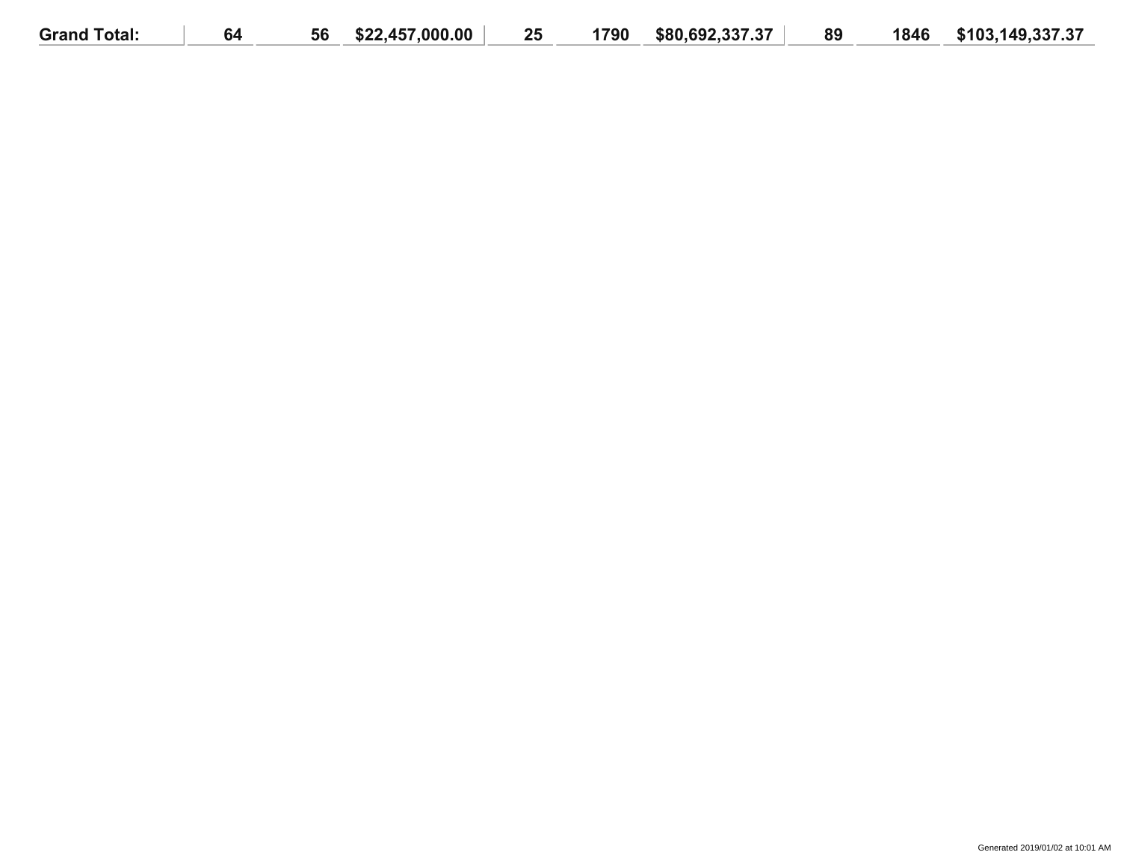| <b>Grand Total:</b> | 64 | 56 | \$22,457,000.00 | 25 | 1790 | \$80.692.337.37 | 89 | 1846 | \$103,149,337.37 |
|---------------------|----|----|-----------------|----|------|-----------------|----|------|------------------|
|                     |    |    |                 |    |      |                 |    |      |                  |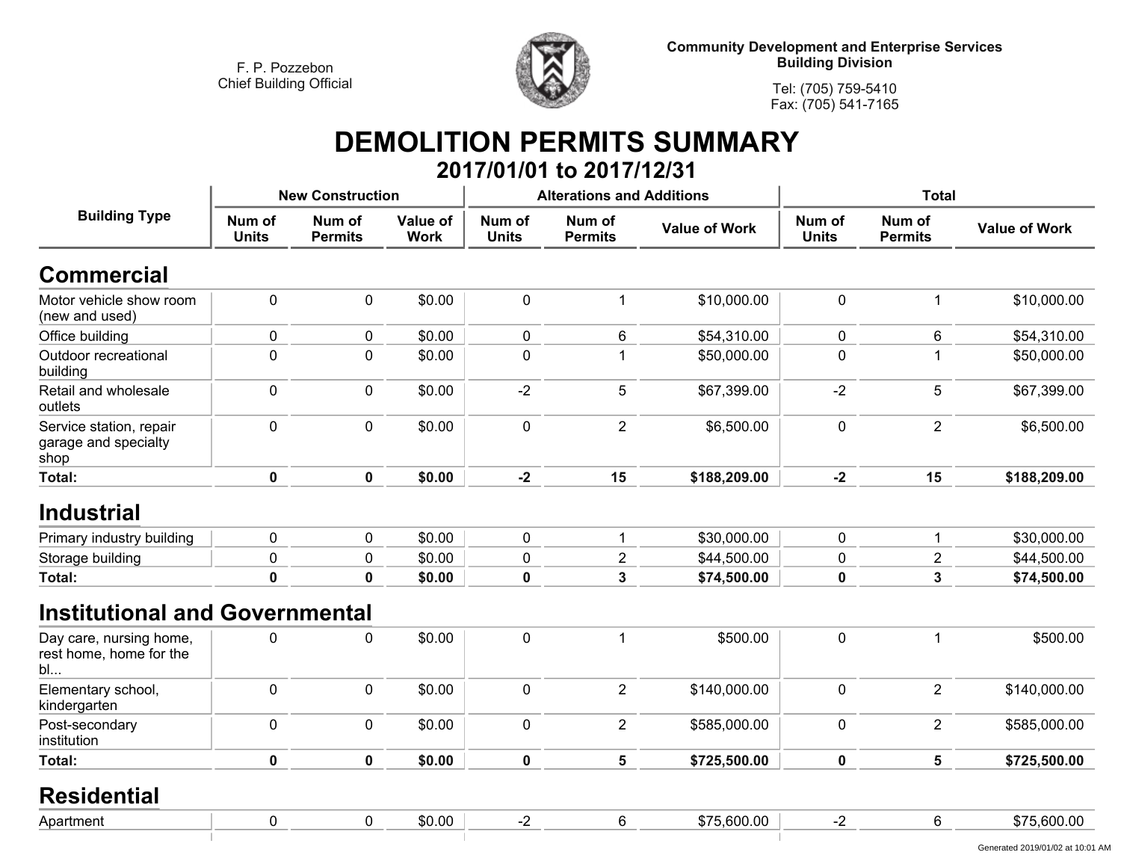

**Tel: (705) 759-5410Fax: (705) 541-7165**

## **DEMOLITION PERMITS SUMMARY 2017/01/01 to 2017/12/31**

|                                                          |                        | <b>New Construction</b>  |                         |                        | <b>Alterations and Additions</b> |                      |                        | <b>Total</b>             |                      |
|----------------------------------------------------------|------------------------|--------------------------|-------------------------|------------------------|----------------------------------|----------------------|------------------------|--------------------------|----------------------|
| <b>Building Type</b>                                     | Num of<br><b>Units</b> | Num of<br><b>Permits</b> | Value of<br><b>Work</b> | Num of<br><b>Units</b> | Num of<br><b>Permits</b>         | <b>Value of Work</b> | Num of<br><b>Units</b> | Num of<br><b>Permits</b> | <b>Value of Work</b> |
| <b>Commercial</b>                                        |                        |                          |                         |                        |                                  |                      |                        |                          |                      |
| Motor vehicle show room<br>(new and used)                | $\mathbf 0$            | $\mathbf 0$              | \$0.00                  | $\mathbf 0$            | 1                                | \$10,000.00          | 0                      | 1                        | \$10,000.00          |
| Office building                                          | 0                      | 0                        | \$0.00                  | $\mathbf 0$            | 6                                | \$54,310.00          | 0                      | 6                        | \$54,310.00          |
| Outdoor recreational<br>building                         | $\mathbf 0$            | $\pmb{0}$                | \$0.00                  | $\pmb{0}$              | 1                                | \$50,000.00          | 0                      |                          | \$50,000.00          |
| Retail and wholesale<br>outlets                          | $\mathbf 0$            | $\mathbf 0$              | \$0.00                  | $-2$                   | $\overline{5}$                   | \$67,399.00          | $-2$                   | 5                        | \$67,399.00          |
| Service station, repair<br>garage and specialty<br>shop  | $\pmb{0}$              | $\pmb{0}$                | \$0.00                  | $\pmb{0}$              | $\overline{2}$                   | \$6,500.00           | 0                      | $\overline{2}$           | \$6,500.00           |
| Total:                                                   | $\mathbf 0$            | $\mathbf 0$              | \$0.00                  | $-2$                   | 15                               | \$188,209.00         | $-2$                   | 15                       | \$188,209.00         |
| <b>Industrial</b>                                        |                        |                          |                         |                        |                                  |                      |                        |                          |                      |
| Primary industry building                                | $\pmb{0}$              | $\mathbf 0$              | \$0.00                  | $\mathbf 0$            | $\mathbf{1}$                     | \$30,000.00          | 0                      | 1                        | \$30,000.00          |
| Storage building                                         | $\pmb{0}$              | $\pmb{0}$                | \$0.00                  | 0                      | $\overline{2}$                   | \$44,500.00          | 0                      | $\overline{c}$           | \$44,500.00          |
| Total:                                                   | $\mathbf 0$            | $\mathbf 0$              | \$0.00                  | $\mathbf 0$            | $\overline{3}$                   | \$74,500.00          | 0                      | $\mathbf{3}$             | \$74,500.00          |
| <b>Institutional and Governmental</b>                    |                        |                          |                         |                        |                                  |                      |                        |                          |                      |
| Day care, nursing home,<br>rest home, home for the<br>bl | 0                      | $\pmb{0}$                | \$0.00                  | $\pmb{0}$              | $\mathbf{1}$                     | \$500.00             | 0                      | $\mathbf 1$              | \$500.00             |
| Elementary school,<br>kindergarten                       | $\pmb{0}$              | $\pmb{0}$                | \$0.00                  | $\pmb{0}$              | $\overline{2}$                   | \$140,000.00         | 0                      | $\overline{2}$           | \$140,000.00         |
| Post-secondary<br>institution                            | $\pmb{0}$              | $\pmb{0}$                | \$0.00                  | $\pmb{0}$              | $\overline{2}$                   | \$585,000.00         | 0                      | $\overline{2}$           | \$585,000.00         |
| Total:                                                   | $\mathbf 0$            | $\mathbf 0$              | \$0.00                  | $\mathbf 0$            | $5\phantom{a}$                   | \$725,500.00         | 0                      | 5                        | \$725,500.00         |
| <b>Residential</b>                                       |                        |                          |                         |                        |                                  |                      |                        |                          |                      |
| Apartment                                                | $\mathbf 0$            | $\pmb{0}$                | \$0.00                  | $-2$                   | $\,6\,$                          | \$75,600.00          | $-2$                   | 6                        | \$75,600.00          |
|                                                          |                        |                          |                         |                        |                                  |                      |                        |                          |                      |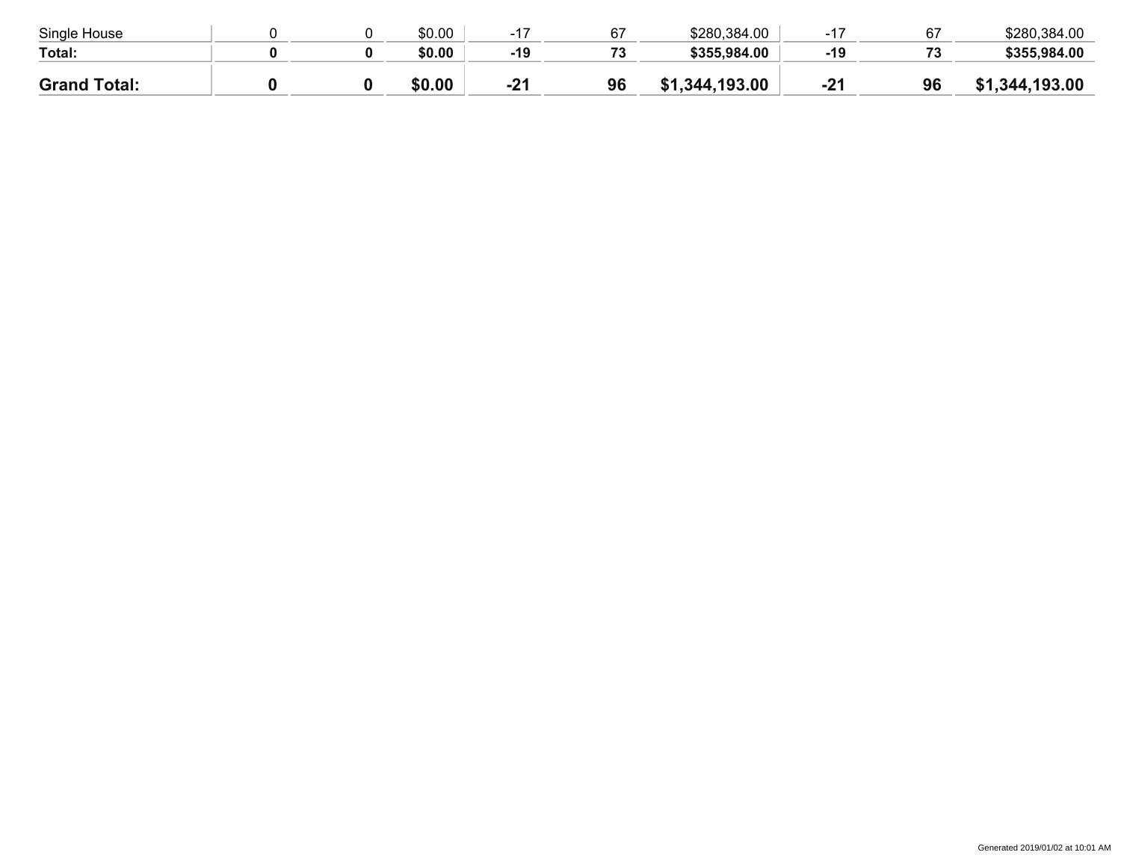| Single House        |  | \$0.00 |       | 67                       | \$280,384.00       | $4-$  |     | \$280,384.00 |
|---------------------|--|--------|-------|--------------------------|--------------------|-------|-----|--------------|
| Total:              |  | \$0.00 | $-19$ | $\overline{\phantom{a}}$ | \$355,984.00       | -19   | د ، | \$355,984.00 |
| <b>Grand Total:</b> |  | \$0.00 | $-21$ | 96                       | .344,193.00<br>\$1 | $-21$ | 96  | ,344,193.00  |
|                     |  |        |       |                          |                    |       |     |              |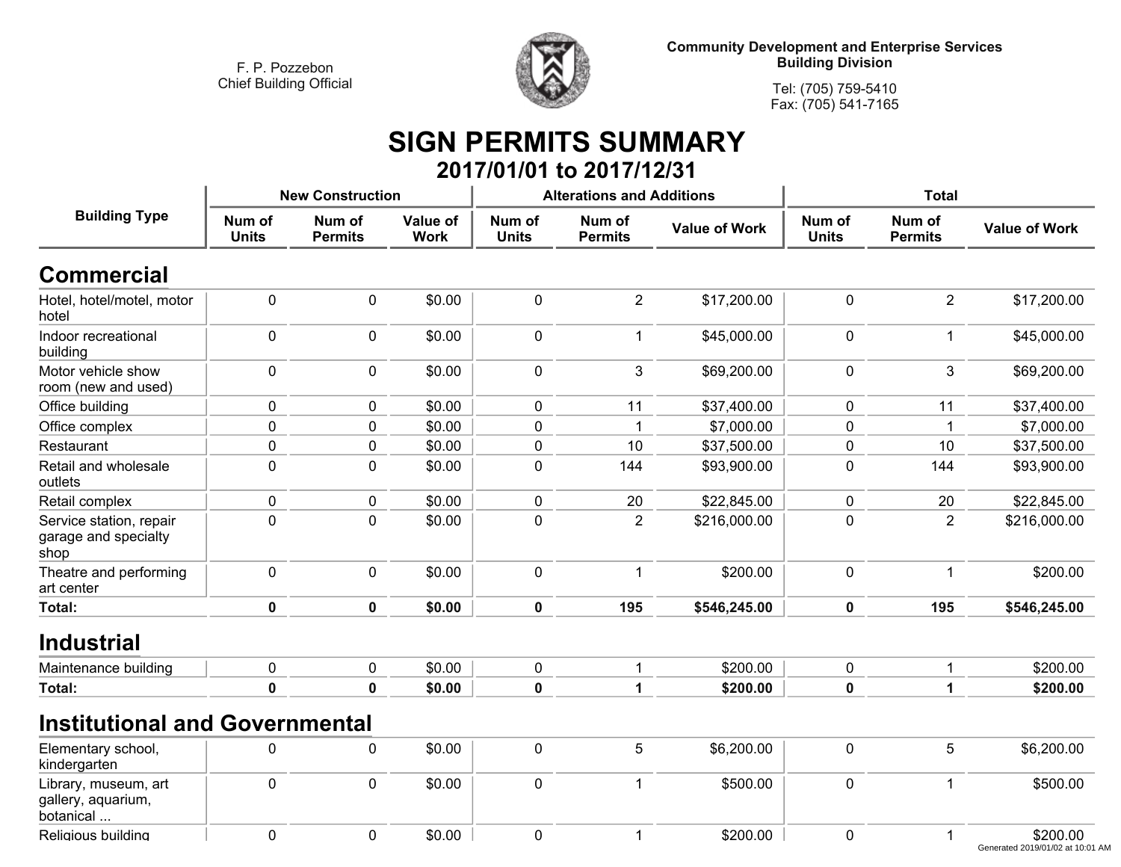**Religious building**



**Community Development and Enterprise Services Building Division**

**Tel: (705) 759-5410Fax: (705) 541-7165**

## **SIGN PERMITS SUMMARY 2017/01/01 to 2017/12/31**

|                                                         |                        | <b>New Construction</b>  |                         |                        | <b>Alterations and Additions</b> |                      | <b>Total</b>           |                          |                      |
|---------------------------------------------------------|------------------------|--------------------------|-------------------------|------------------------|----------------------------------|----------------------|------------------------|--------------------------|----------------------|
| <b>Building Type</b>                                    | Num of<br><b>Units</b> | Num of<br><b>Permits</b> | Value of<br><b>Work</b> | Num of<br><b>Units</b> | Num of<br><b>Permits</b>         | <b>Value of Work</b> | Num of<br><b>Units</b> | Num of<br><b>Permits</b> | <b>Value of Work</b> |
| <b>Commercial</b>                                       |                        |                          |                         |                        |                                  |                      |                        |                          |                      |
| Hotel, hotel/motel, motor<br>hotel                      | $\mathbf 0$            | $\mathbf 0$              | \$0.00                  | $\mathbf 0$            | $\overline{2}$                   | \$17,200.00          | $\mathbf 0$            | $\overline{2}$           | \$17,200.00          |
| Indoor recreational<br>building                         | $\mathbf 0$            | $\Omega$                 | \$0.00                  | $\mathbf 0$            | $\mathbf 1$                      | \$45,000.00          | $\mathbf 0$            | 1                        | \$45,000.00          |
| Motor vehicle show<br>room (new and used)               | $\pmb{0}$              | $\mathbf 0$              | \$0.00                  | $\mathbf 0$            | $\mathfrak{S}$                   | \$69,200.00          | $\mathbf 0$            | 3                        | \$69,200.00          |
| Office building                                         | $\pmb{0}$              | $\mathbf 0$              | \$0.00                  | $\mathbf 0$            | 11                               | \$37,400.00          | $\mathbf 0$            | 11                       | \$37,400.00          |
| Office complex                                          | $\mathbf 0$            | $\mathbf 0$              | \$0.00                  | 0                      | -1                               | \$7,000.00           | $\mathbf 0$            |                          | \$7,000.00           |
| Restaurant                                              | $\pmb{0}$              | $\mathbf 0$              | \$0.00                  | $\mathbf 0$            | 10                               | \$37,500.00          | $\pmb{0}$              | 10                       | \$37,500.00          |
| Retail and wholesale<br>outlets                         | $\pmb{0}$              | $\mathbf 0$              | \$0.00                  | $\mathbf 0$            | 144                              | \$93,900.00          | $\mathbf 0$            | 144                      | \$93,900.00          |
| Retail complex                                          | $\pmb{0}$              | $\mathbf 0$              | \$0.00                  | $\pmb{0}$              | 20                               | \$22,845.00          | $\pmb{0}$              | 20                       | \$22,845.00          |
| Service station, repair<br>garage and specialty<br>shop | $\mathbf 0$            | $\mathbf{0}$             | \$0.00                  | $\mathbf 0$            | $\overline{2}$                   | \$216,000.00         | $\mathbf 0$            | $\overline{2}$           | \$216,000.00         |
| Theatre and performing<br>art center                    | $\mathbf 0$            | $\mathbf 0$              | \$0.00                  | $\mathbf 0$            | -1                               | \$200.00             | $\mathbf 0$            | 1                        | \$200.00             |
| Total:                                                  | $\mathbf 0$            | $\mathbf 0$              | \$0.00                  | 0                      | 195                              | \$546,245.00         | $\mathbf 0$            | 195                      | \$546,245.00         |
| <b>Industrial</b>                                       |                        |                          |                         |                        |                                  |                      |                        |                          |                      |
| Maintenance building                                    | $\pmb{0}$              | $\mathbf 0$              | \$0.00                  | $\pmb{0}$              | $\overline{1}$                   | \$200.00             | $\pmb{0}$              | 1                        | \$200.00             |
| <b>Total:</b>                                           | $\bf{0}$               | $\bf{0}$                 | \$0.00                  | $\mathbf 0$            | 1                                | \$200.00             | $\mathbf 0$            |                          | \$200.00             |
| <b>Institutional and Governmental</b>                   |                        |                          |                         |                        |                                  |                      |                        |                          |                      |
| Elementary school,<br>kindergarten                      | 0                      | $\mathbf 0$              | \$0.00                  | $\mathbf 0$            | 5                                | \$6,200.00           | $\mathbf 0$            | 5                        | \$6,200.00           |
| Library, museum, art<br>gallery, aquarium,<br>botanical | $\pmb{0}$              | $\mathbf 0$              | \$0.00                  | $\mathbf 0$            | $\mathbf{1}$                     | \$500.00             | $\pmb{0}$              | 1                        | \$500.00             |